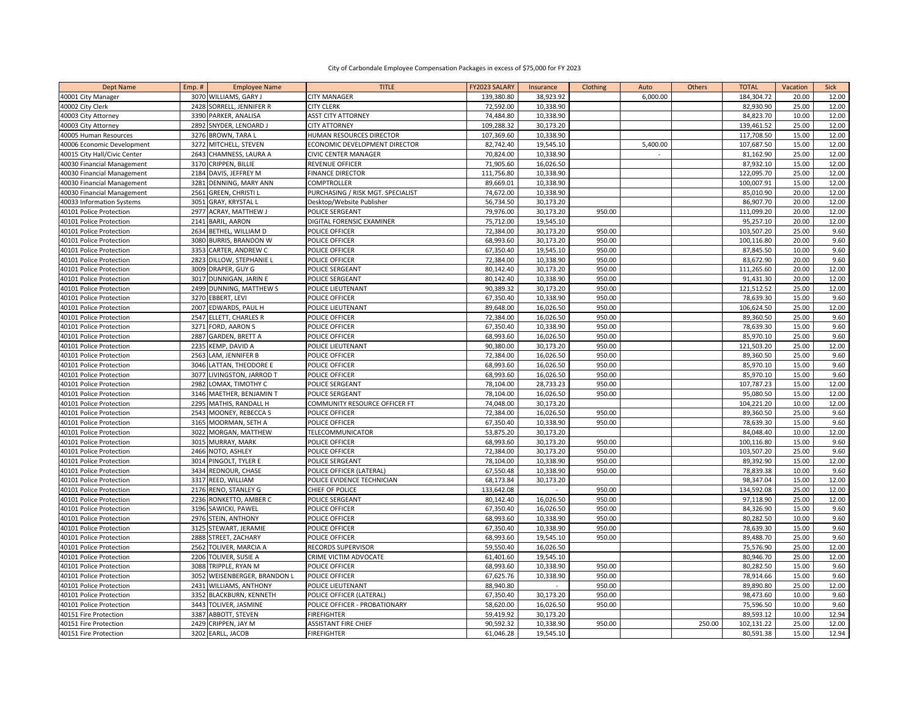## City of Carbondale Employee Compensation Packages in excess of \$75,000 for FY 2023

| <b>Dept Name</b>             | Emp. # | <b>Employee Name</b>     | <b>TITLE</b>                         | FY2023 SALARY | Insurance | Clothing | Auto     | Others | <b>TOTAL</b> | Vacation | Sick  |
|------------------------------|--------|--------------------------|--------------------------------------|---------------|-----------|----------|----------|--------|--------------|----------|-------|
| 40001 City Manager           |        | 3070 WILLIAMS, GARY J    | <b>CITY MANAGER</b>                  | 139,380.80    | 38,923.92 |          | 6,000.00 |        | 184,304.72   | 20.00    | 12.00 |
| 40002 City Clerk             | 2428   | SORRELL, JENNIFER R      | <b>CITY CLERK</b>                    | 72,592.00     | 10,338.90 |          |          |        | 82,930.90    | 25.00    | 12.00 |
| 40003 City Attorney          | 3390   | PARKER, ANALISA          | <b>ASST CITY ATTORNEY</b>            | 74,484.80     | 10,338.90 |          |          |        | 84,823.70    | 10.00    | 12.00 |
| 40003 City Attorney          | 2892   | SNYDER, LENOARD J        | <b>CITY ATTORNEY</b>                 | 109,288.32    | 30,173.20 |          |          |        | 139,461.52   | 25.00    | 12.00 |
| 40005 Human Resources        | 3276   | <b>BROWN, TARA L</b>     | HUMAN RESOURCES DIRECTOR             | 107,369.60    | 10,338.90 |          |          |        | 117,708.50   | 15.00    | 12.00 |
| 40006 Economic Development   | 3272   | MITCHELL, STEVEN         | ECONOMIC DEVELOPMENT DIRECTOR        | 82,742.40     | 19,545.10 |          | 5,400.00 |        | 107,687.50   | 15.00    | 12.00 |
| 40015 City Hall/Civic Center | 2643   | CHAMNESS, LAURA A        | <b>CIVIC CENTER MANAGER</b>          | 70,824.00     | 10,338.90 |          |          |        | 81,162.90    | 25.00    | 12.00 |
| 40030 Financial Management   | 3170   | CRIPPEN, BILLIE          | <b>REVENUE OFFICER</b>               | 71,905.60     | 16,026.50 |          |          |        | 87,932.10    | 15.00    | 12.00 |
| 40030 Financial Management   | 2184   | DAVIS, JEFFREY M         | <b>FINANCE DIRECTOR</b>              | 111,756.80    | 10,338.90 |          |          |        | 122,095.70   | 25.00    | 12.00 |
| 40030 Financial Management   | 3281   | DENNING, MARY ANN        | <b>COMPTROLLER</b>                   | 89,669.01     | 10,338.90 |          |          |        | 100,007.91   | 15.00    | 12.00 |
| 40030 Financial Management   | 2561   | <b>GREEN, CHRISTI L</b>  | PURCHASING / RISK MGT. SPECIALIST    | 74,672.00     | 10,338.90 |          |          |        | 85,010.90    | 20.00    | 12.00 |
| 40033 Information Systems    | 3051   | <b>GRAY, KRYSTAL I</b>   | Desktop/Website Publisher            | 56,734.50     | 30,173.20 |          |          |        | 86,907.70    | 20.00    | 12.00 |
| 40101 Police Protection      | 2977   | ACRAY, MATTHEW J         | POLICE SERGEANT                      | 79,976.00     | 30,173.20 | 950.00   |          |        | 111,099.20   | 20.00    | 12.00 |
| 40101 Police Protection      | 2141   | <b>BARIL, AARON</b>      | DIGITAL FORENSIC EXAMINER            | 75,712.00     | 19,545.10 |          |          |        | 95,257.10    | 20.00    | 12.00 |
| 40101 Police Protection      | 2634   | BETHEL, WILLIAM D        | POLICE OFFICER                       | 72,384.00     | 30,173.20 | 950.00   |          |        | 103,507.20   | 25.00    | 9.60  |
| 40101 Police Protection      | 3080   | <b>BURRIS, BRANDON W</b> | POLICE OFFICER                       | 68,993.60     | 30,173.20 | 950.00   |          |        | 100,116.80   | 20.00    | 9.60  |
| 40101 Police Protection      | 3353   | CARTER, ANDREW C         | POLICE OFFICER                       | 67,350.40     | 19,545.10 | 950.00   |          |        | 87,845.50    | 10.00    | 9.60  |
| 40101 Police Protection      | 2823   | DILLOW, STEPHANIE L      | POLICE OFFICER                       | 72,384.00     | 10,338.90 | 950.00   |          |        | 83,672.90    | 20.00    | 9.60  |
| 40101 Police Protection      | 3009   | DRAPER, GUY G            | POLICE SERGEANT                      | 80,142.40     | 30,173.20 | 950.00   |          |        | 111,265.60   | 20.00    | 12.00 |
| 40101 Police Protection      | 3017   | DUNNIGAN, JARIN E        | POLICE SERGEANT                      | 80,142.40     | 10,338.90 | 950.00   |          |        | 91,431.30    | 20.00    | 12.00 |
| 40101 Police Protection      | 2499   | DUNNING, MATTHEW S       | POLICE LIEUTENANT                    | 90,389.32     | 30,173.20 | 950.00   |          |        | 121,512.52   | 25.00    | 12.00 |
| 40101 Police Protection      | 3270   | EBBERT, LEVI             | POLICE OFFICER                       | 67,350.40     | 10,338.90 | 950.00   |          |        | 78,639.30    | 15.00    | 9.60  |
| 40101 Police Protection      | 2007   | <b>EDWARDS, PAUL H</b>   | POLICE LIEUTENANT                    | 89.648.00     | 16,026.50 | 950.00   |          |        | 106,624.50   | 25.00    | 12.00 |
| 40101 Police Protection      |        | 2547 ELLETT, CHARLES R   | POLICE OFFICER                       | 72,384.00     | 16,026.50 | 950.00   |          |        | 89,360.50    | 25.00    | 9.60  |
| 40101 Police Protection      | 3271   | FORD, AARON S            | POLICE OFFICER                       | 67,350.40     | 10,338.90 | 950.00   |          |        | 78,639.30    | 15.00    | 9.60  |
| 40101 Police Protection      | 2887   | <b>GARDEN, BRETT A</b>   | POLICE OFFICER                       | 68,993.60     | 16,026.50 | 950.00   |          |        | 85,970.10    | 25.00    | 9.60  |
| 40101 Police Protection      | 2235   | KEMP, DAVID A            | POLICE LIEUTENANT                    | 90,380.00     | 30,173.20 | 950.00   |          |        | 121,503.20   | 25.00    | 12.00 |
| 40101 Police Protection      | 2563   | LAM, JENNIFER B          | POLICE OFFICER                       | 72,384.00     | 16,026.50 | 950.00   |          |        | 89,360.50    | 25.00    | 9.60  |
| 40101 Police Protection      | 3046   | LATTAN, THEODORE E       | POLICE OFFICER                       | 68,993.60     | 16,026.50 | 950.00   |          |        | 85,970.10    | 15.00    | 9.60  |
| 40101 Police Protection      | 3077   | LIVINGSTON, JARROD T     | POLICE OFFICER                       | 68,993.60     | 16,026.50 | 950.00   |          |        | 85,970.10    | 15.00    | 9.60  |
| 40101 Police Protection      | 2982   | LOMAX, TIMOTHY C         | POLICE SERGEANT                      | 78.104.00     | 28.733.23 | 950.00   |          |        | 107,787.23   | 15.00    | 12.00 |
| 40101 Police Protection      | 3146   | MAETHER, BENJAMIN T      | POLICE SERGEANT                      | 78,104.00     | 16,026.50 | 950.00   |          |        | 95,080.50    | 15.00    | 12.00 |
| 40101 Police Protection      | 2295   | MATHIS, RANDALL H        | <b>COMMUNITY RESOURCE OFFICER FT</b> | 74,048.00     | 30,173.20 |          |          |        | 104,221.20   | 10.00    | 12.00 |
| 40101 Police Protection      | 2543   | MOONEY, REBECCA S        | POLICE OFFICER                       | 72,384.00     | 16,026.50 | 950.00   |          |        | 89,360.50    | 25.00    | 9.60  |
| 40101 Police Protection      | 3165   | MOORMAN, SETH A          | POLICE OFFICER                       | 67,350.40     | 10,338.90 | 950.00   |          |        | 78,639.30    | 15.00    | 9.60  |
| 40101 Police Protection      | 3022   | MORGAN, MATTHEW          | TELECOMMUNICATOR                     | 53,875.20     | 30,173.20 |          |          |        | 84,048.40    | 10.00    | 12.00 |
| 40101 Police Protection      | 3015   | <b>MURRAY, MARK</b>      | <b>POLICE OFFICER</b>                | 68.993.60     | 30.173.20 | 950.00   |          |        | 100.116.80   | 15.00    | 9.60  |
| 40101 Police Protection      | 2466   | NOTO, ASHLEY             | POLICE OFFICER                       | 72,384.00     | 30,173.20 | 950.00   |          |        | 103,507.20   | 25.00    | 9.60  |
| 40101 Police Protection      | 3014   | PINGOLT, TYLER E         | POLICE SERGEANT                      | 78,104.00     | 10,338.90 | 950.00   |          |        | 89,392.90    | 15.00    | 12.00 |
| 40101 Police Protection      | 3434   | REDNOUR, CHASE           | POLICE OFFICER (LATERAL)             | 67,550.48     | 10,338.90 | 950.00   |          |        | 78,839.38    | 10.00    | 9.60  |
| 40101 Police Protection      | 3317   | REED, WILLIAM            | POLICE EVIDENCE TECHNICIAN           | 68,173.84     | 30,173.20 |          |          |        | 98,347.04    | 15.00    | 12.00 |
| 40101 Police Protection      | 2176   | <b>RENO, STANLEY G</b>   | CHIEF OF POLICE                      | 133,642.08    |           | 950.00   |          |        | 134,592.08   | 25.00    | 12.00 |
| 40101 Police Protection      | 2236   | RONKETTO, AMBER C        | POLICE SERGEANT                      | 80,142.40     | 16,026.50 | 950.00   |          |        | 97,118.90    | 25.00    | 12.00 |
| 40101 Police Protection      | 3196   | SAWICKI, PAWEL           | POLICE OFFICER                       | 67,350.40     | 16,026.50 | 950.00   |          |        | 84,326.90    | 15.00    | 9.60  |
| 40101 Police Protection      | 2976   | <b>STEIN, ANTHONY</b>    | POLICE OFFICER                       | 68,993.60     | 10,338.90 | 950.00   |          |        | 80,282.50    | 10.00    | 9.60  |
| 40101 Police Protection      | 3125   | STEWART, JERAMIE         | POLICE OFFICER                       | 67,350.40     | 10,338.90 | 950.00   |          |        | 78,639.30    | 15.00    | 9.60  |
| 40101 Police Protection      | 2888   | STREET, ZACHARY          | POLICE OFFICER                       | 68,993.60     | 19,545.10 | 950.00   |          |        | 89,488.70    | 25.00    | 9.60  |
| 40101 Police Protection      | 2562   | TOLIVER, MARCIA A        | RECORDS SUPERVISOR                   | 59,550.40     | 16,026.50 |          |          |        | 75,576.90    | 25.00    | 12.00 |
| 40101 Police Protection      | 2206   | TOLIVER, SUSIE A         | CRIME VICTIM ADVOCATE                | 61,401.60     | 19,545.10 |          |          |        | 80,946.70    | 25.00    | 12.00 |
| 40101 Police Protection      | 3088   | TRIPPLE, RYAN M          | POLICE OFFICER                       | 68,993.60     | 10,338.90 | 950.00   |          |        | 80,282.50    | 15.00    | 9.60  |
| 40101 Police Protection      | 3052   | WEISENBERGER, BRANDON L  | POLICE OFFICER                       | 67,625.76     | 10,338.90 | 950.00   |          |        | 78,914.66    | 15.00    | 9.60  |
| 40101 Police Protection      | 2431   | WILLIAMS, ANTHONY        | POLICE LIEUTENANT                    | 88,940.80     |           | 950.00   |          |        | 89,890.80    | 25.00    | 12.00 |
| 40101 Police Protection      | 3352   | BLACKBURN, KENNETH       | POLICE OFFICER (LATERAL)             | 67,350.40     | 30,173.20 | 950.00   |          |        | 98,473.60    | 10.00    | 9.60  |
| 40101 Police Protection      | 3443   | <b>TOLIVER, JASMINE</b>  | POLICE OFFICER - PROBATIONARY        | 58,620.00     | 16,026.50 | 950.00   |          |        | 75,596.50    | 10.00    | 9.60  |
| 40151 Fire Protection        | 3387   | ABBOTT, STEVEN           | <b>FIREFIGHTER</b>                   | 59,419.92     | 30,173.20 |          |          |        | 89,593.12    | 10.00    | 12.94 |
| 40151 Fire Protection        | 2429   | CRIPPEN, JAY M           | <b>ASSISTANT FIRE CHIEF</b>          | 90,592.32     | 10,338.90 | 950.00   |          | 250.00 | 102,131.22   | 25.00    | 12.00 |
| 40151 Fire Protection        |        | 3202 EARLL, JACOB        | <b>FIREFIGHTER</b>                   | 61,046.28     | 19,545.10 |          |          |        | 80,591.38    | 15.00    | 12.94 |